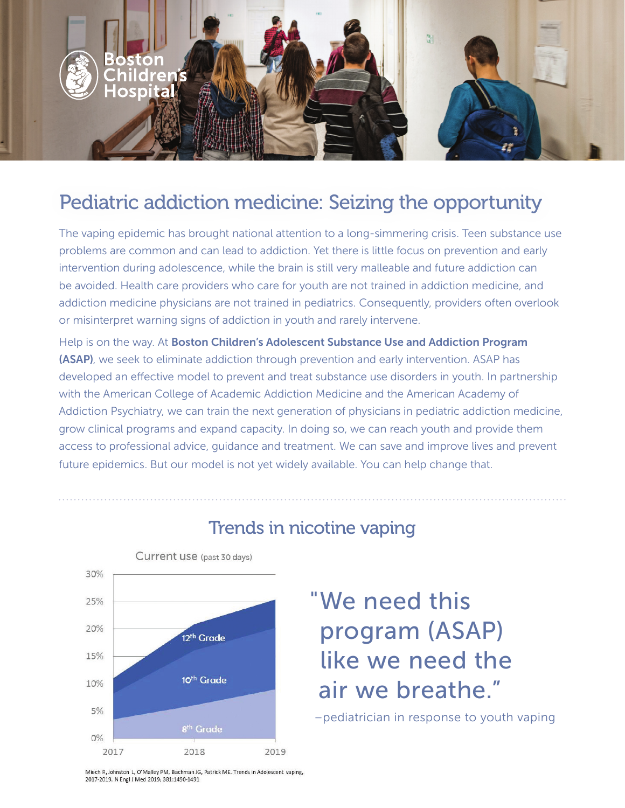

## Pediatric addiction medicine: Seizing the opportunity

The vaping epidemic has brought national attention to a long-simmering crisis. Teen substance use problems are common and can lead to addiction. Yet there is little focus on prevention and early intervention during adolescence, while the brain is still very malleable and future addiction can be avoided. Health care providers who care for youth are not trained in addiction medicine, and addiction medicine physicians are not trained in pediatrics. Consequently, providers often overlook or misinterpret warning signs of addiction in youth and rarely intervene.

Help is on the way. At Boston Children's Adolescent Substance Use and Addiction Program (ASAP), we seek to eliminate addiction through prevention and early intervention. ASAP has developed an effective model to prevent and treat substance use disorders in youth. In partnership with the American College of Academic Addiction Medicine and the American Academy of Addiction Psychiatry, we can train the next generation of physicians in pediatric addiction medicine, grow clinical programs and expand capacity. In doing so, we can reach youth and provide them access to professional advice, guidance and treatment. We can save and improve lives and prevent future epidemics. But our model is not yet widely available. You can help change that.



#### Trends in nicotine vaping

# "We need this program (ASAP) like we need the air we breathe."

–pediatrician in response to youth vaping

Miech R, Johnston L, O'Malley PM, Bachman JG, Patrick ME. Trends in Adolescent vaping, 2017-2019. N Engl J Med 2019: 381:1490-1491